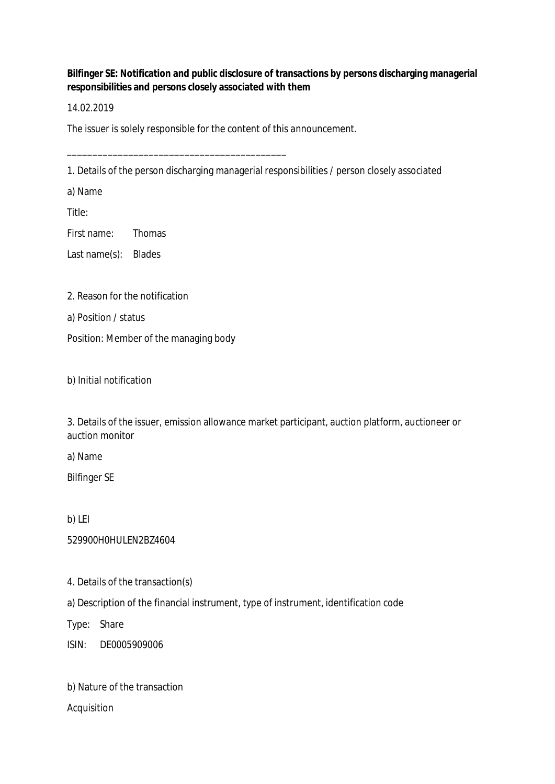**Bilfinger SE: Notification and public disclosure of transactions by persons discharging managerial responsibilities and persons closely associated with them**

14.02.2019

The issuer is solely responsible for the content of this announcement.

\_\_\_\_\_\_\_\_\_\_\_\_\_\_\_\_\_\_\_\_\_\_\_\_\_\_\_\_\_\_\_\_\_\_\_\_\_\_\_\_\_\_\_

1. Details of the person discharging managerial responsibilities / person closely associated

a) Name

Title:

First name: Thomas

Last name(s): Blades

2. Reason for the notification

a) Position / status

Position: Member of the managing body

b) Initial notification

3. Details of the issuer, emission allowance market participant, auction platform, auctioneer or auction monitor

a) Name

Bilfinger SE

b) LEI

529900H0HULEN2BZ4604

4. Details of the transaction(s)

a) Description of the financial instrument, type of instrument, identification code

Type: Share

ISIN: DE0005909006

b) Nature of the transaction

Acquisition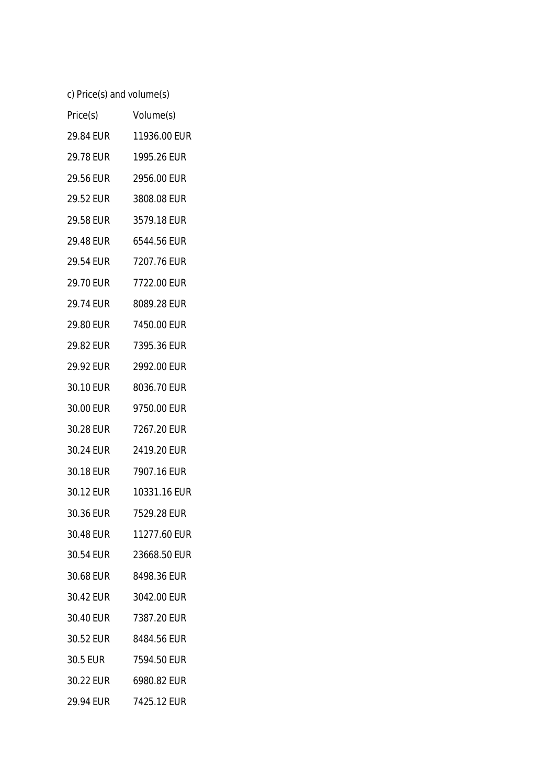c) Price(s) and volume(s)

| Price(s)  | Volume(s)    |
|-----------|--------------|
| 29.84 EUR | 11936.00 EUR |
| 29.78 EUR | 1995.26 EUR  |
| 29.56 EUR | 2956.00 EUR  |
| 29.52 EUR | 3808.08 EUR  |
| 29.58 EUR | 3579.18 EUR  |
| 29.48 EUR | 6544.56 EUR  |
| 29.54 EUR | 7207.76 EUR  |
| 29.70 EUR | 7722.00 EUR  |
| 29.74 EUR | 8089.28 EUR  |
| 29.80 EUR | 7450.00 EUR  |
| 29.82 EUR | 7395.36 EUR  |
| 29.92 EUR | 2992.00 EUR  |
| 30.10 EUR | 8036.70 EUR  |
| 30.00 EUR | 9750.00 EUR  |
| 30.28 EUR | 7267.20 EUR  |
| 30.24 EUR | 2419.20 EUR  |
| 30.18 EUR | 7907.16 EUR  |
| 30.12 EUR | 10331.16 EUR |
| 30.36 EUR | 7529.28 EUR  |
| 30.48 EUR | 11277.60 EUR |
| 30.54 EUR | 23668.50 EUR |
| 30.68 EUR | 8498.36 EUR  |
| 30.42 EUR | 3042.00 EUR  |
| 30.40 EUR | 7387.20 EUR  |
| 30.52 EUR | 8484.56 EUR  |
| 30.5 EUR  | 7594.50 EUR  |
| 30.22 EUR | 6980.82 EUR  |
| 29.94 EUR | 7425.12 EUR  |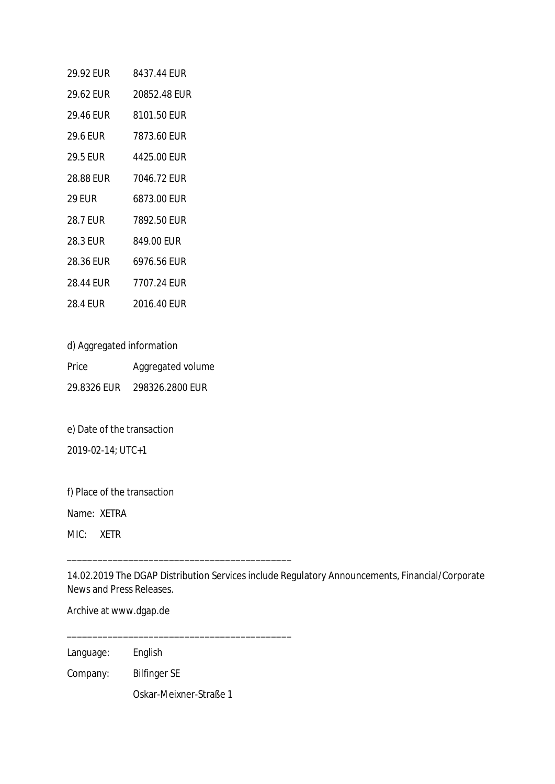| 29.92 EUR       | 8437.44 FUR  |
|-----------------|--------------|
| 29.62 EUR       | 20852.48 EUR |
| 29.46 FUR       | 8101.50 EUR  |
| 29.6 EUR        | 7873.60 EUR  |
| <b>29.5 EUR</b> | 4425.00 EUR  |
| 28.88 EUR       | 7046.72 EUR  |
| 29 FUR          | 6873.00 FUR  |
| <b>28.7 EUR</b> | 7892.50 EUR  |
| 28.3 EUR        | 849.00 EUR   |
| 28.36 FUR       | 6976.56 FUR  |
| 28.44 FUR       | 7707.24 EUR  |
|                 |              |

d) Aggregated information

Price **Aggregated volume** 29.8326 EUR 298326.2800 EUR

e) Date of the transaction

2019-02-14; UTC+1

f) Place of the transaction

Name: XETRA

MIC: XETR

14.02.2019 The DGAP Distribution Services include Regulatory Announcements, Financial/Corporate News and Press Releases.

Archive at www.dgap.de

Language: English

Company: Bilfinger SE

Oskar-Meixner-Straße 1

\_\_\_\_\_\_\_\_\_\_\_\_\_\_\_\_\_\_\_\_\_\_\_\_\_\_\_\_\_\_\_\_\_\_\_\_\_\_\_\_\_\_\_\_

\_\_\_\_\_\_\_\_\_\_\_\_\_\_\_\_\_\_\_\_\_\_\_\_\_\_\_\_\_\_\_\_\_\_\_\_\_\_\_\_\_\_\_\_